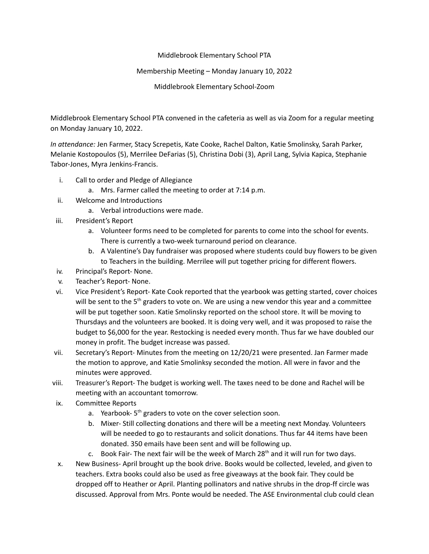## Middlebrook Elementary School PTA

## Membership Meeting – Monday January 10, 2022

Middlebrook Elementary School-Zoom

Middlebrook Elementary School PTA convened in the cafeteria as well as via Zoom for a regular meeting on Monday January 10, 2022.

*In attendance:* Jen Farmer, Stacy Screpetis, Kate Cooke, Rachel Dalton, Katie Smolinsky, Sarah Parker, Melanie Kostopoulos (5), Merrilee DeFarias (5), Christina Dobi (3), April Lang, Sylvia Kapica, Stephanie Tabor-Jones, Myra Jenkins-Francis.

- i. Call to order and Pledge of Allegiance
	- a. Mrs. Farmer called the meeting to order at 7:14 p.m.
- ii. Welcome and Introductions
	- a. Verbal introductions were made.
- iii. President's Report
	- a. Volunteer forms need to be completed for parents to come into the school for events. There is currently a two-week turnaround period on clearance.
	- b. A Valentine's Day fundraiser was proposed where students could buy flowers to be given to Teachers in the building. Merrilee will put together pricing for different flowers.
- iv. Principal's Report- None.
- v. Teacher's Report- None.
- vi. Vice President's Report- Kate Cook reported that the yearbook was getting started, cover choices will be sent to the 5<sup>th</sup> graders to vote on. We are using a new vendor this year and a committee will be put together soon. Katie Smolinsky reported on the school store. It will be moving to Thursdays and the volunteers are booked. It is doing very well, and it was proposed to raise the budget to \$6,000 for the year. Restocking is needed every month. Thus far we have doubled our money in profit. The budget increase was passed.
- vii. Secretary's Report- Minutes from the meeting on 12/20/21 were presented. Jan Farmer made the motion to approve, and Katie Smolinksy seconded the motion. All were in favor and the minutes were approved.
- viii. Treasurer's Report- The budget is working well. The taxes need to be done and Rachel will be meeting with an accountant tomorrow.
- ix. Committee Reports
	- a. Yearbook-5<sup>th</sup> graders to vote on the cover selection soon.
	- b. Mixer- Still collecting donations and there will be a meeting next Monday. Volunteers will be needed to go to restaurants and solicit donations. Thus far 44 items have been donated. 350 emails have been sent and will be following up.
	- c. Book Fair- The next fair will be the week of March  $28<sup>th</sup>$  and it will run for two days.
- x. New Business- April brought up the book drive. Books would be collected, leveled, and given to teachers. Extra books could also be used as free giveaways at the book fair. They could be dropped off to Heather or April. Planting pollinators and native shrubs in the drop-ff circle was discussed. Approval from Mrs. Ponte would be needed. The ASE Environmental club could clean